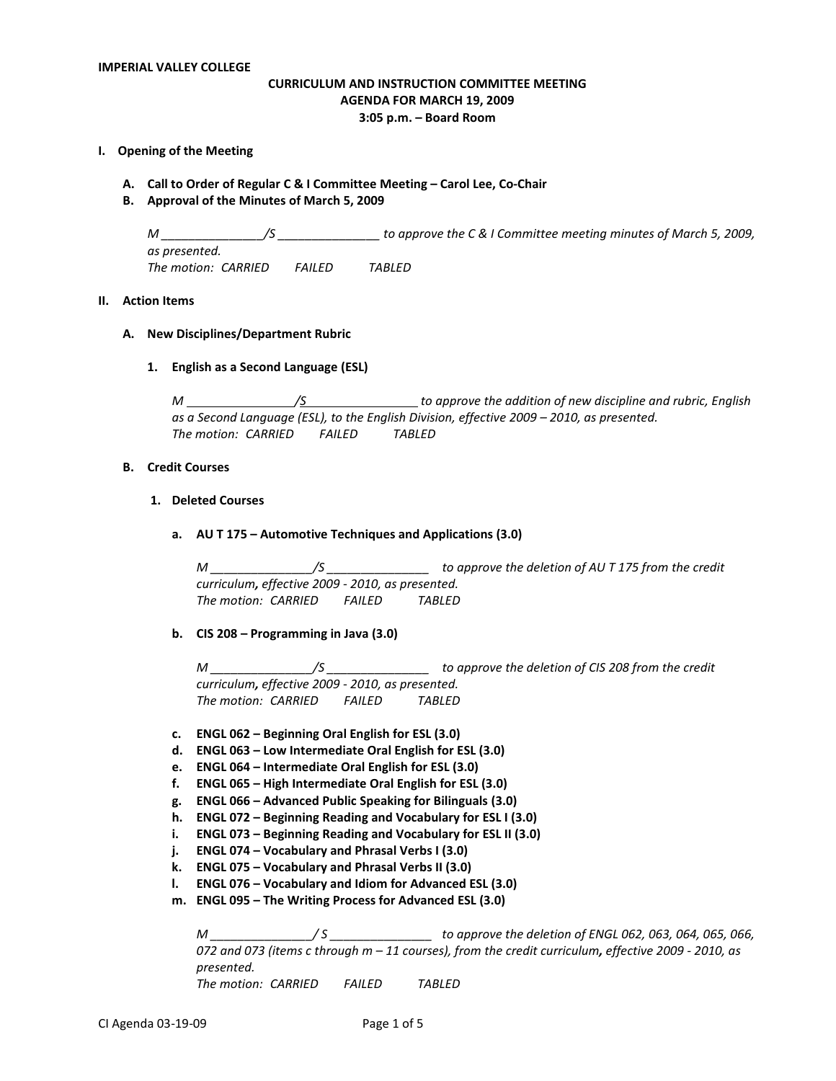# **CURRICULUM AND INSTRUCTION COMMITTEE MEETING AGENDA FOR MARCH 19, 2009 3:05 p.m. – Board Room**

### **I. Opening of the Meeting**

- **A. Call to Order of Regular C & I Committee Meeting – Carol Lee, Co-Chair**
- **B. Approval of the Minutes of March 5, 2009**

*M \_\_\_\_\_\_\_\_\_\_\_\_\_\_\_/S \_\_\_\_\_\_\_\_\_\_\_\_\_\_\_ to approve the C & I Committee meeting minutes of March 5, 2009, as presented. The motion: CARRIED FAILED TABLED*

# **II. Action Items**

#### **A. New Disciplines/Department Rubric**

**1. English as a Second Language (ESL)**

*M /S to approve the addition of new discipline and rubric, English as a Second Language (ESL), to the English Division, effective 2009 – 2010, as presented. The motion: CARRIED FAILED TABLED*

#### **B. Credit Courses**

#### **1. Deleted Courses**

**a. AU T 175 – Automotive Techniques and Applications (3.0)**

*M \_\_\_\_\_\_\_\_\_\_\_\_\_\_\_/S \_\_\_\_\_\_\_\_\_\_\_\_\_\_\_ to approve the deletion of AU T 175 from the credit curriculum, effective 2009 - 2010, as presented. The motion: CARRIED FAILED TABLED*

**b. CIS 208 – Programming in Java (3.0)**

*M \_\_\_\_\_\_\_\_\_\_\_\_\_\_\_/S \_\_\_\_\_\_\_\_\_\_\_\_\_\_\_ to approve the deletion of CIS 208 from the credit curriculum, effective 2009 - 2010, as presented. The motion: CARRIED FAILED TABLED*

- **c. ENGL 062 – Beginning Oral English for ESL (3.0)**
- **d. ENGL 063 – Low Intermediate Oral English for ESL (3.0)**
- **e. ENGL 064 – Intermediate Oral English for ESL (3.0)**
- **f. ENGL 065 – High Intermediate Oral English for ESL (3.0)**
- **g. ENGL 066 – Advanced Public Speaking for Bilinguals (3.0)**
- **h. ENGL 072 – Beginning Reading and Vocabulary for ESL I (3.0)**
- **i. ENGL 073 – Beginning Reading and Vocabulary for ESL II (3.0)**
- **j. ENGL 074 – Vocabulary and Phrasal Verbs I (3.0)**
- **k. ENGL 075 – Vocabulary and Phrasal Verbs II (3.0)**
- **l. ENGL 076 – Vocabulary and Idiom for Advanced ESL (3.0)**
- **m. ENGL 095 – The Writing Process for Advanced ESL (3.0)**

*M \_\_\_\_\_\_\_\_\_\_\_\_\_\_\_/ S \_\_\_\_\_\_\_\_\_\_\_\_\_\_\_ to approve the deletion of ENGL 062, 063, 064, 065, 066, 072 and 073 (items c through m – 11 courses), from the credit curriculum, effective 2009 - 2010, as presented. The motion: CARRIED FAILED TABLED*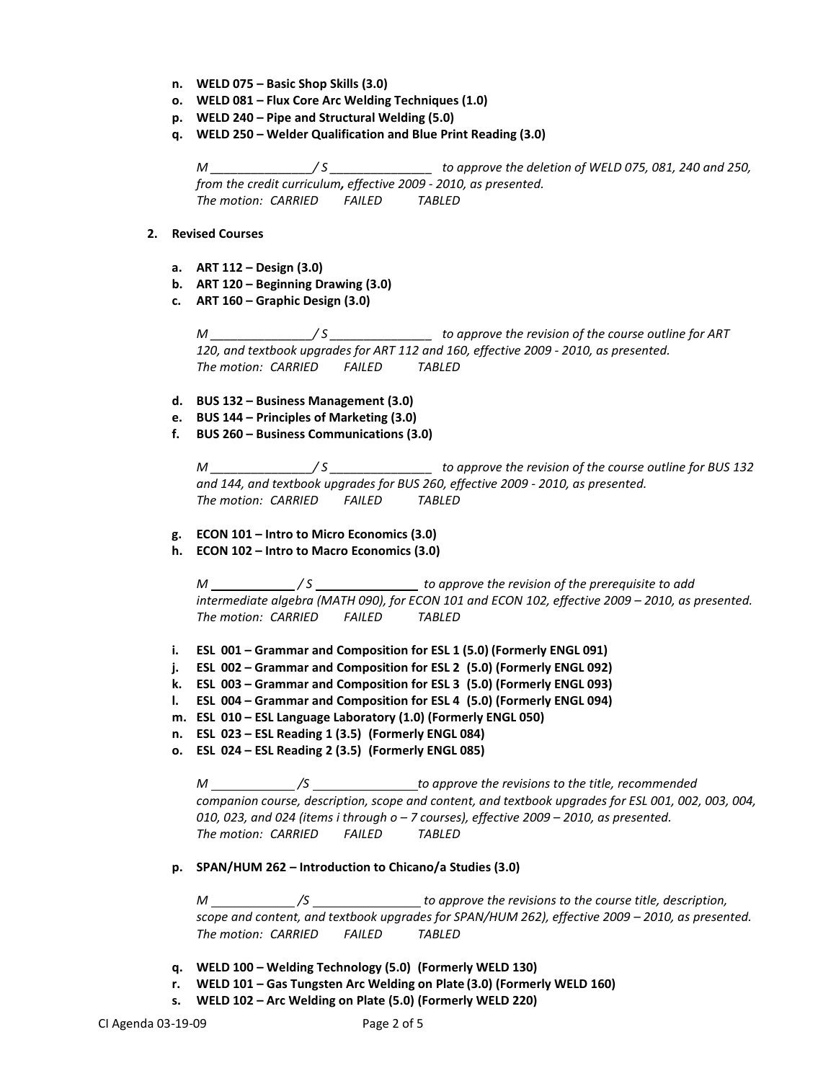- **n. WELD 075 – Basic Shop Skills (3.0)**
- **o. WELD 081 – Flux Core Arc Welding Techniques (1.0)**
- **p. WELD 240 – Pipe and Structural Welding (5.0)**
- **q. WELD 250 – Welder Qualification and Blue Print Reading (3.0)**

*M \_\_\_\_\_\_\_\_\_\_\_\_\_\_\_/ S \_\_\_\_\_\_\_\_\_\_\_\_\_\_\_ to approve the deletion of WELD 075, 081, 240 and 250, from the credit curriculum, effective 2009 - 2010, as presented. The motion: CARRIED FAILED TABLED*

## **2. Revised Courses**

- **a. ART 112 – Design (3.0)**
- **b. ART 120 – Beginning Drawing (3.0)**
- **c. ART 160 – Graphic Design (3.0)**

*M \_\_\_\_\_\_\_\_\_\_\_\_\_\_\_/ S \_\_\_\_\_\_\_\_\_\_\_\_\_\_\_ to approve the revision of the course outline for ART 120, and textbook upgrades for ART 112 and 160, effective 2009 - 2010, as presented. The motion: CARRIED FAILED TABLED*

- **d. BUS 132 – Business Management (3.0)**
- **e. BUS 144 – Principles of Marketing (3.0)**
- **f. BUS 260 – Business Communications (3.0)**

*M \_\_\_\_\_\_\_\_\_\_\_\_\_\_\_/ S \_\_\_\_\_\_\_\_\_\_\_\_\_\_\_ to approve the revision of the course outline for BUS 132 and 144, and textbook upgrades for BUS 260, effective 2009 - 2010, as presented. The motion: CARRIED FAILED TABLED*

- **g. ECON 101 – Intro to Micro Economics (3.0)**
- **h. ECON 102 – Intro to Macro Economics (3.0)**

*M / S to approve the revision of the prerequisite to add intermediate algebra (MATH 090), for ECON 101 and ECON 102, effective 2009 – 2010, as presented. The motion: CARRIED FAILED TABLED*

- **i. ESL 001 – Grammar and Composition for ESL 1 (5.0) (Formerly ENGL 091)**
- **j. ESL 002 – Grammar and Composition for ESL 2 (5.0) (Formerly ENGL 092)**
- **k. ESL 003 – Grammar and Composition for ESL 3 (5.0) (Formerly ENGL 093)**
- **l. ESL 004 – Grammar and Composition for ESL 4 (5.0) (Formerly ENGL 094)**
- **m. ESL 010 – ESL Language Laboratory (1.0) (Formerly ENGL 050)**
- **n. ESL 023 – ESL Reading 1 (3.5) (Formerly ENGL 084)**
- **o. ESL 024 – ESL Reading 2 (3.5) (Formerly ENGL 085)**

*M /S to approve the revisions to the title, recommended companion course, description, scope and content, and textbook upgrades for ESL 001, 002, 003, 004, 010, 023, and 024 (items i through o – 7 courses), effective 2009 – 2010, as presented. The motion: CARRIED FAILED TABLED*

**p. SPAN/HUM 262 – Introduction to Chicano/a Studies (3.0)**

*M* <u>*<i>\_\_\_\_\_\_\_\_\_\_\_/S* \_\_\_\_\_\_\_\_\_\_\_\_\_\_\_\_\_\_to approve the revisions to the course title, description,</u> *scope and content, and textbook upgrades for SPAN/HUM 262), effective 2009 – 2010, as presented. The motion: CARRIED FAILED TABLED*

- **q. WELD 100 – Welding Technology (5.0) (Formerly WELD 130)**
- **r. WELD 101 – Gas Tungsten Arc Welding on Plate (3.0) (Formerly WELD 160)**
- **s. WELD 102 – Arc Welding on Plate (5.0) (Formerly WELD 220)**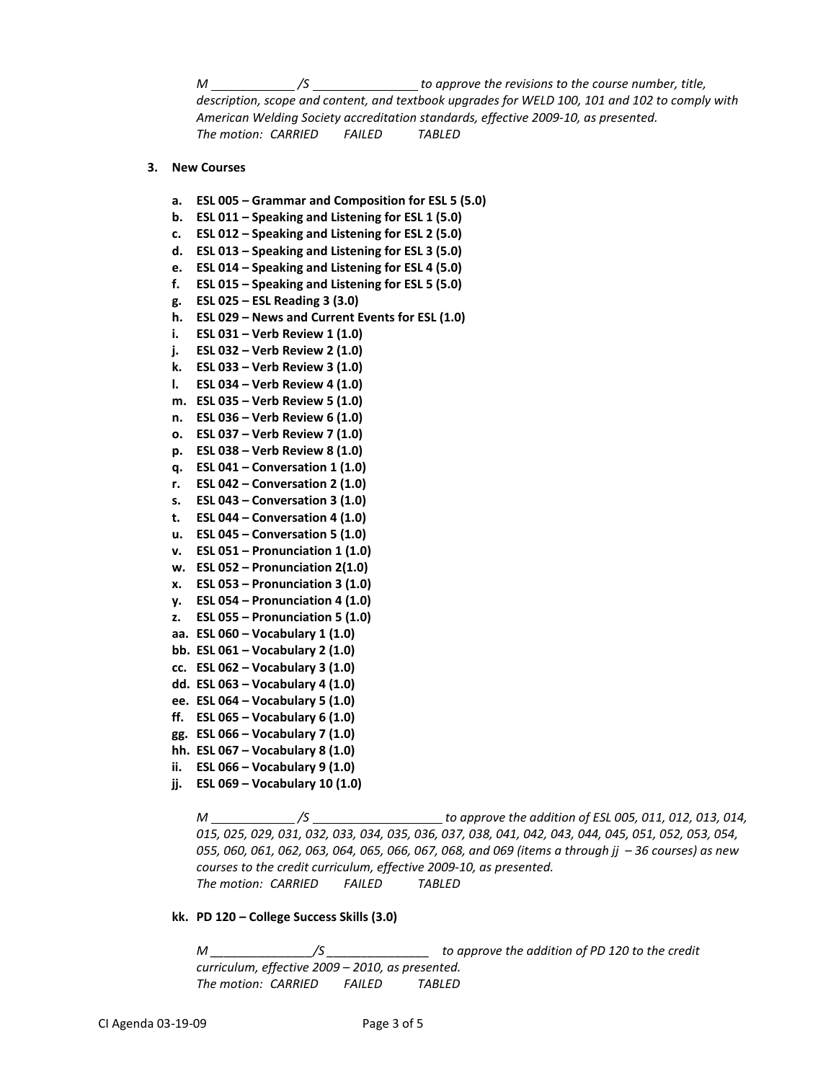*M /S to approve the revisions to the course number, title, description, scope and content, and textbook upgrades for WELD 100, 101 and 102 to comply with American Welding Society accreditation standards, effective 2009-10, as presented. The motion: CARRIED FAILED TABLED*

#### **3. New Courses**

- **a. ESL 005 – Grammar and Composition for ESL 5 (5.0)**
- **b. ESL 011 – Speaking and Listening for ESL 1 (5.0)**
- **c. ESL 012 – Speaking and Listening for ESL 2 (5.0)**
- **d. ESL 013 – Speaking and Listening for ESL 3 (5.0)**
- **e. ESL 014 – Speaking and Listening for ESL 4 (5.0)**
- **f. ESL 015 – Speaking and Listening for ESL 5 (5.0)**
- **g. ESL 025 – ESL Reading 3 (3.0)**
- **h. ESL 029 – News and Current Events for ESL (1.0)**
- **i. ESL 031 – Verb Review 1 (1.0)**
- **j. ESL 032 – Verb Review 2 (1.0)**
- **k. ESL 033 – Verb Review 3 (1.0)**
- **l. ESL 034 – Verb Review 4 (1.0)**
- **m. ESL 035 – Verb Review 5 (1.0)**
- **n. ESL 036 – Verb Review 6 (1.0)**
- **o. ESL 037 – Verb Review 7 (1.0)**
- **p. ESL 038 – Verb Review 8 (1.0)**
- **q. ESL 041 – Conversation 1 (1.0)**
- **r. ESL 042 – Conversation 2 (1.0)**
- **s. ESL 043 – Conversation 3 (1.0)**
- **t. ESL 044 – Conversation 4 (1.0)**
- **u. ESL 045 – Conversation 5 (1.0)**
- **v. ESL 051 – Pronunciation 1 (1.0)**
- **w. ESL 052 – Pronunciation 2(1.0)**
- **x. ESL 053 – Pronunciation 3 (1.0)**
- **y. ESL 054 – Pronunciation 4 (1.0)**
- **z. ESL 055 – Pronunciation 5 (1.0)**
- **aa. ESL 060 – Vocabulary 1 (1.0)**
- **bb. ESL 061 – Vocabulary 2 (1.0)**
- **cc. ESL 062 – Vocabulary 3 (1.0)**
- **dd. ESL 063 – Vocabulary 4 (1.0)**
- **ee. ESL 064 – Vocabulary 5 (1.0)**
- **ff. ESL 065 – Vocabulary 6 (1.0)**
- **gg. ESL 066 – Vocabulary 7 (1.0)**
- **hh. ESL 067 – Vocabulary 8 (1.0)**
- **ii. ESL 066 – Vocabulary 9 (1.0)**
- **jj. ESL 069 – Vocabulary 10 (1.0)**

*M \_\_\_\_\_\_\_\_\_\_\_\_\_/S* \_\_\_\_\_\_\_\_\_\_\_\_\_\_\_\_\_\_\_\_\_\_to approve the addition of ESL 005, 011, 012, 013, 014, *015, 025, 029, 031, 032, 033, 034, 035, 036, 037, 038, 041, 042, 043, 044, 045, 051, 052, 053, 054, 055, 060, 061, 062, 063, 064, 065, 066, 067, 068, and 069 (items a through jj – 36 courses) as new courses to the credit curriculum, effective 2009-10, as presented. The motion: CARRIED FAILED TABLED*

#### **kk. PD 120 – College Success Skills (3.0)**

*M \_\_\_\_\_\_\_\_\_\_\_\_\_\_\_/S \_\_\_\_\_\_\_\_\_\_\_\_\_\_\_ to approve the addition of PD 120 to the credit curriculum, effective 2009 – 2010, as presented. The motion: CARRIED FAILED TABLED*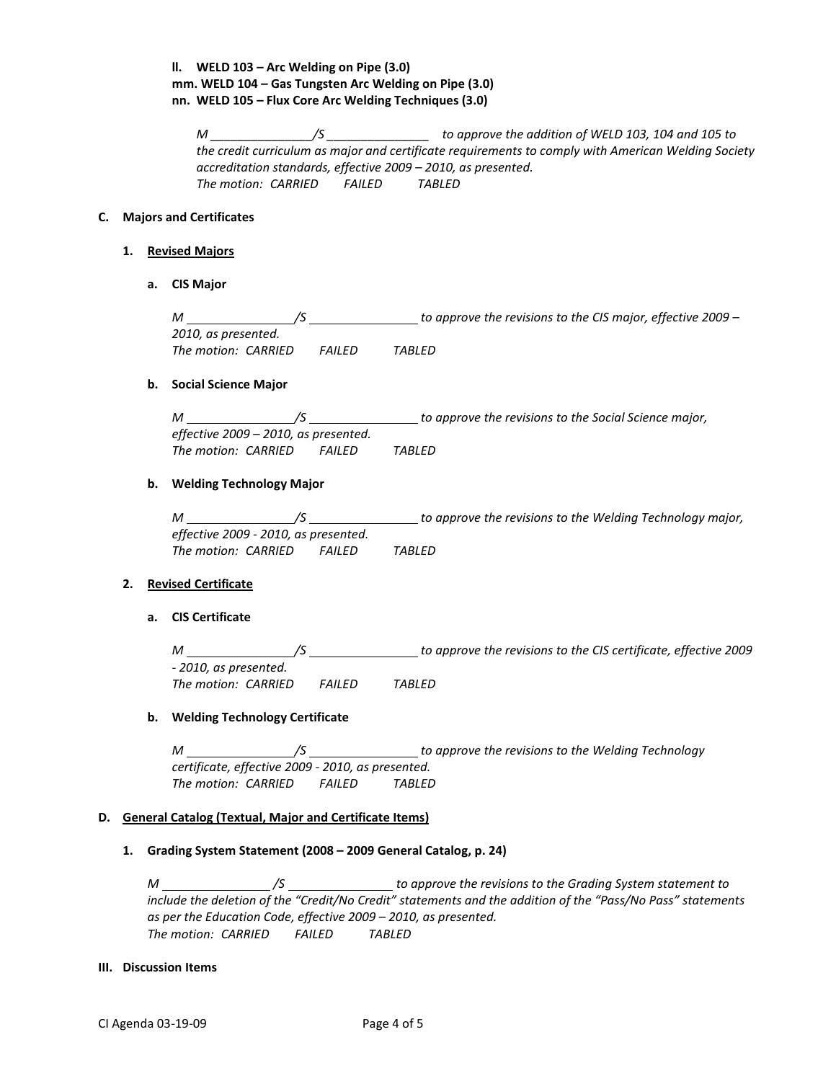# **ll. WELD 103 – Arc Welding on Pipe (3.0) mm. WELD 104 – Gas Tungsten Arc Welding on Pipe (3.0) nn. WELD 105 – Flux Core Arc Welding Techniques (3.0)**

*M \_\_\_\_\_\_\_\_\_\_\_\_\_\_\_/S \_\_\_\_\_\_\_\_\_\_\_\_\_\_\_ to approve the addition of WELD 103, 104 and 105 to the credit curriculum as major and certificate requirements to comply with American Welding Society accreditation standards, effective 2009 – 2010, as presented. The motion: CARRIED FAILED TABLED*

# **C. Majors and Certificates**

### **1. Revised Majors**

**a. CIS Major**

*M /S to approve the revisions to the CIS major, effective 2009 – 2010, as presented. The motion: CARRIED FAILED TABLED*

### **b. Social Science Major**

*M /S to approve the revisions to the Social Science major, effective 2009 – 2010, as presented. The motion: CARRIED FAILED TABLED*

# **b. Welding Technology Major**

| М                                    |               | to approve the revisions to the Welding Technology major, |
|--------------------------------------|---------------|-----------------------------------------------------------|
| effective 2009 - 2010, as presented. |               |                                                           |
| The motion: CARRIED                  | <i>FAILFD</i> | TABLED                                                    |

## **2. Revised Certificate**

# **a. CIS Certificate**

*M /S to approve the revisions to the CIS certificate, effective 2009 - 2010, as presented. The motion: CARRIED FAILED TABLED*

## **b. Welding Technology Certificate**

*M /S to approve the revisions to the Welding Technology certificate, effective 2009 - 2010, as presented. The motion: CARRIED FAILED TABLED*

## **D. General Catalog (Textual, Major and Certificate Items)**

## **1. Grading System Statement (2008 – 2009 General Catalog, p. 24)**

*M /S to approve the revisions to the Grading System statement to include the deletion of the "Credit/No Credit" statements and the addition of the "Pass/No Pass" statements as per the Education Code, effective 2009 – 2010, as presented. The motion: CARRIED FAILED TABLED*

# **III. Discussion Items**